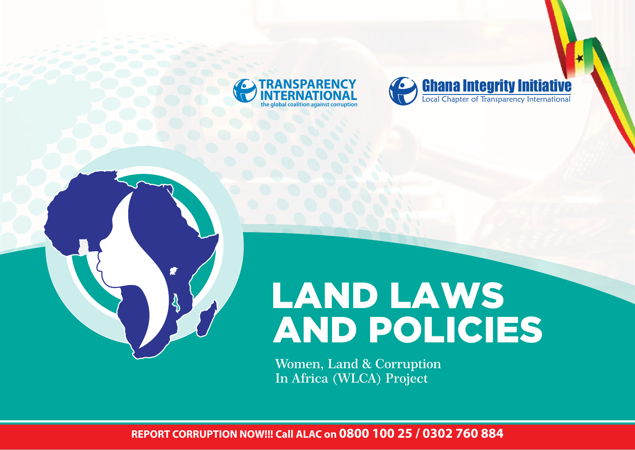





# LAND LAWS AND POLICIES

**Women, Land & Corruption In Africa (WLCA) Project**

**REPORT CORRUPTION NOW!!! Call ALAC on 0800 100 25 / 0302 760 884**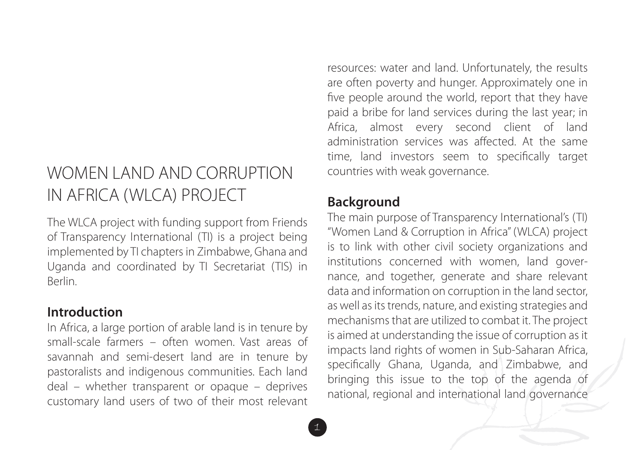# WOMEN LAND AND CORRUPTION IN AFRICA (WLCA) PROJECT

The WLCA project with funding support from Friends of Transparency International (TI) is a project being implemented by TI chapters in Zimbabwe, Ghana and Uganda and coordinated by TI Secretariat (TIS) in Berlin.

#### **Introduction**

In Africa, a large portion of arable land is in tenure by small-scale farmers – often women. Vast areas of savannah and semi-desert land are in tenure by pastoralists and indigenous communities. Each land deal – whether transparent or opaque – deprives customary land users of two of their most relevant

resources: water and land. Unfortunately, the results are often poverty and hunger. Approximately one in five people around the world, report that they have paid a bribe for land services during the last year; in Africa, almost every second client of land administration services was affected. At the same time, land investors seem to specifically target countries with weak governance.

### **Background**

The main purpose of Transparency International's (TI) "Women Land & Corruption in Africa" (WLCA) project is to link with other civil society organizations and institutions concerned with women, land governance, and together, generate and share relevant data and information on corruption in the land sector, as well as its trends, nature, and existing strategies and mechanisms that are utilized to combat it. The project is aimed at understanding the issue of corruption as it impacts land rights of women in Sub-Saharan Africa, specifically Ghana, Uganda, and Zimbabwe, and bringing this issue to the top of the agenda of national, regional and international land governance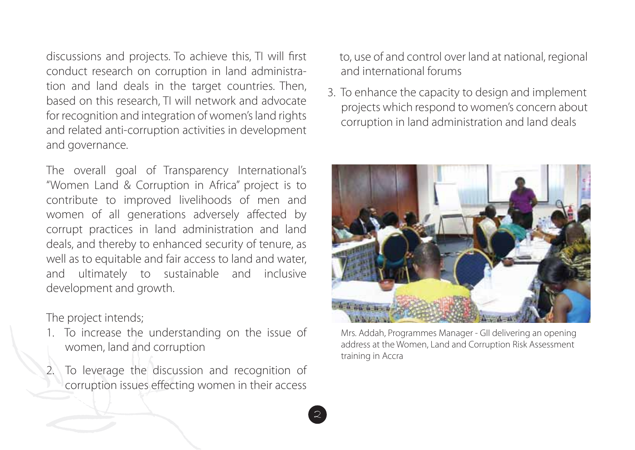discussions and projects. To achieve this, TI will first conduct research on corruption in land administration and land deals in the target countries. Then, based on this research, TI will network and advocate for recognition and integration of women's land rights and related anti-corruption activities in development and governance.

The overall goal of Transparency International's "Women Land & Corruption in Africa" project is to contribute to improved livelihoods of men and women of all generations adversely affected by corrupt practices in land administration and land deals, and thereby to enhanced security of tenure, as well as to equitable and fair access to land and water, and ultimately to sustainable and inclusive development and growth.

#### The project intends;

- 1. To increase the understanding on the issue of women, land and corruption
- 2. To leverage the discussion and recognition of corruption issues effecting women in their access

 to, use of and control over land at national, regional and international forums

3. To enhance the capacity to design and implement projects which respond to women's concern about corruption in land administration and land deals



Mrs. Addah, Programmes Manager - GII delivering an opening address at the Women, Land and Corruption Risk Assessment training in Accra

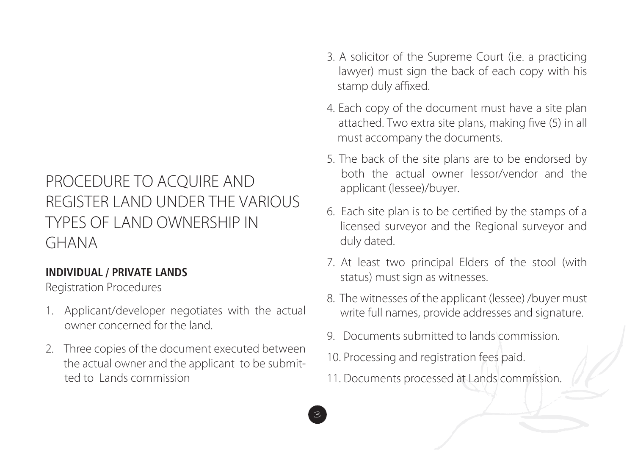# PROCEDURE TO ACQUIRE AND REGISTER LAND UNDER THE VARIOUS TYPES OF LAND OWNERSHIP IN GHANA

#### **INDIVIDUAL / PRIVATE LANDS**

Registration Procedures

- 1. Applicant/developer negotiates with the actual owner concerned for the land.
- 2. Three copies of the document executed between the actual owner and the applicant to be submit ted to Lands commission
- 3. A solicitor of the Supreme Court (i.e. a practicing lawyer) must sign the back of each copy with his stamp duly affixed.
- 4. Each copy of the document must have a site plan attached. Two extra site plans, making five (5) in all must accompany the documents.
- 5. The back of the site plans are to be endorsed by both the actual owner lessor/vendor and the applicant (lessee)/buyer.
- 6. Each site plan is to be certified by the stamps of a licensed surveyor and the Regional surveyor and duly dated.
- 7. At least two principal Elders of the stool (with status) must sign as witnesses.
- 8. The witnesses of the applicant (lessee) /buyer must write full names, provide addresses and signature.
- 9. Documents submitted to lands commission.
- 10. Processing and registration fees paid.
- 11. Documents processed at Lands commission.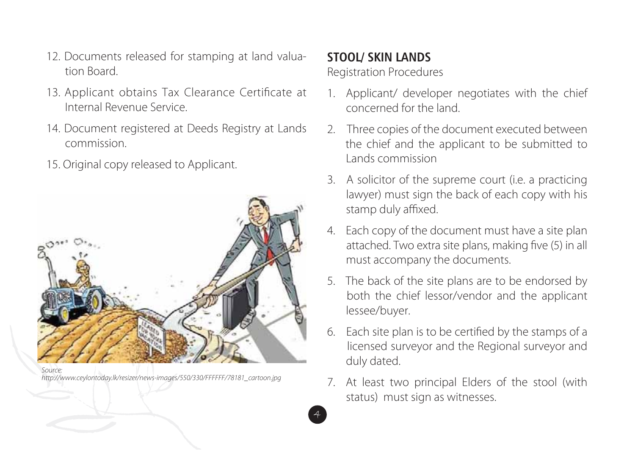- 12. Documents released for stamping at land valua tion Board.
- 13. Applicant obtains Tax Clearance Certificate at Internal Revenue Service.
- 14. Document registered at Deeds Registry at Lands commission.
- 15. Original copy released to Applicant.



*Source:* http://www.ceylontoday.lk/resizer/news-images/550/330/FFFFFF/78181\_cartoon.jpg

#### **STOOL/ SKIN LANDS**

4

Registration Procedures

- 1. Applicant/ developer negotiates with the chief concerned for the land.
- 2. Three copies of the document executed between the chief and the applicant to be submitted to Lands commission
- 3. A solicitor of the supreme court (i.e. a practicing lawyer) must sign the back of each copy with his stamp duly affixed.
- 4. Each copy of the document must have a site plan attached. Two extra site plans, making five (5) in all must accompany the documents.
- 5. The back of the site plans are to be endorsed by both the chief lessor/vendor and the applicant lessee/buyer.
- 6. Each site plan is to be certified by the stamps of a licensed surveyor and the Regional surveyor and duly dated.
- 7. At least two principal Elders of the stool (with status) must sign as witnesses.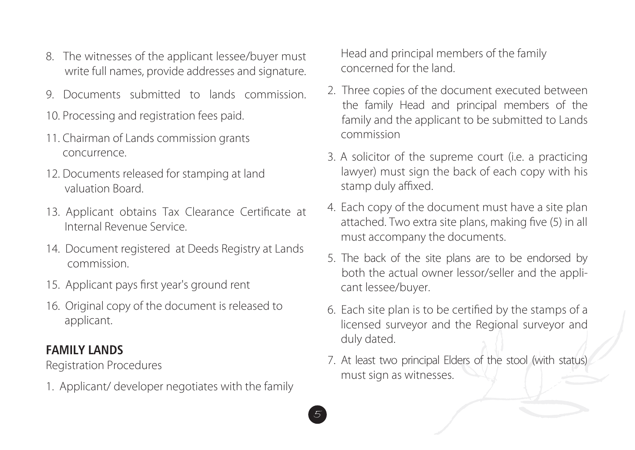- 8. The witnesses of the applicant lessee/buyer must write full names, provide addresses and signature.
- 9. Documents submitted to lands commission.
- 10. Processing and registration fees paid.
- 11. Chairman of Lands commission grants concurrence.
- 12. Documents released for stamping at land valuation Board.
- 13. Applicant obtains Tax Clearance Certificate at Internal Revenue Service.
- 14. Document registered at Deeds Registry at Lands commission.
- 15. Applicant pays first year's ground rent
- 16. Original copy of the document is released to applicant.

#### **FAMILY LANDS**

Registration Procedures

1. Applicant/ developer negotiates with the family

 Head and principal members of the family concerned for the land.

- 2. Three copies of the document executed between the family Head and principal members of the family and the applicant to be submitted to Lands commission
- 3. A solicitor of the supreme court (i.e. a practicing lawyer) must sign the back of each copy with his stamp duly affixed.
- 4. Each copy of the document must have a site plan attached. Two extra site plans, making five (5) in all must accompany the documents.
- 5. The back of the site plans are to be endorsed by both the actual owner lessor/seller and the appli cant lessee/buyer.
- 6. Each site plan is to be certified by the stamps of a licensed surveyor and the Regional surveyor and duly dated.
- 7. At least two principal Elders of the stool (with status) must sign as witnesses.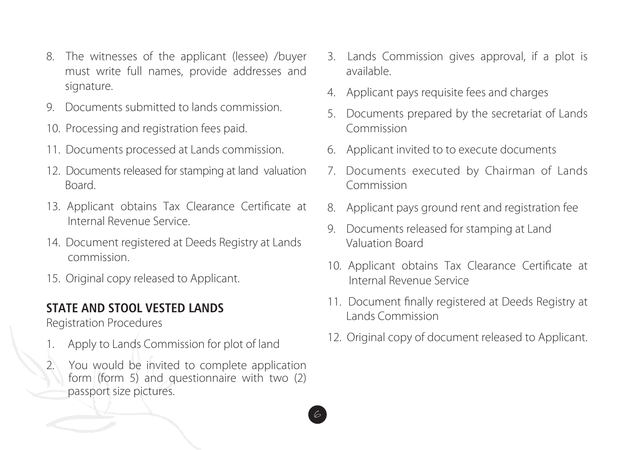- 8. The witnesses of the applicant (lessee) /buyer must write full names, provide addresses and signature.
- 9. Documents submitted to lands commission.
- 10. Processing and registration fees paid.
- 11. Documents processed at Lands commission.
- 12. Documents released for stamping at land valuation Board.
- 13. Applicant obtains Tax Clearance Certificate at Internal Revenue Service.
- 14. Document registered at Deeds Registry at Lands commission.
- 15. Original copy released to Applicant.

#### **STATE AND STOOL VESTED LANDS**

Registration Procedures

- 1. Apply to Lands Commission for plot of land
- 2. You would be invited to complete application form (form 5) and questionnaire with two (2) passport size pictures.

- 3. Lands Commission gives approval, if a plot is available.
- 4. Applicant pays requisite fees and charges
- 5. Documents prepared by the secretariat of Lands Commission
- 6. Applicant invited to to execute documents
- 7. Documents executed by Chairman of Lands Commission
- 8. Applicant pays ground rent and registration fee
- 9. Documents released for stamping at Land Valuation Board
- 10. Applicant obtains Tax Clearance Certificate at Internal Revenue Service
- 11. Document finally registered at Deeds Registry at Lands Commission
- 12. Original copy of document released to Applicant.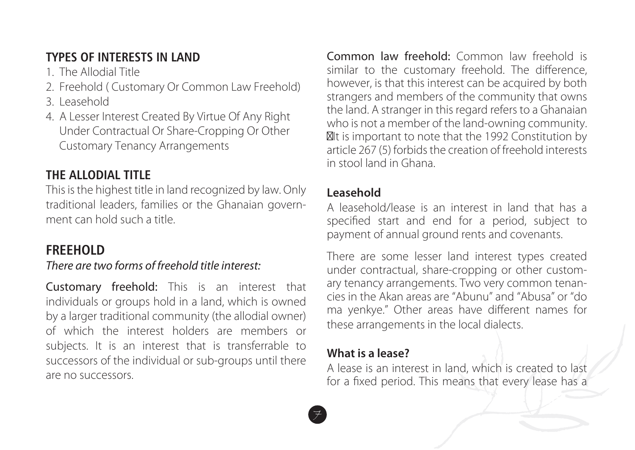#### **TYPES OF INTERESTS IN LAND**

- 1. The Allodial Title
- 2. Freehold ( Customary Or Common Law Freehold)
- 3. Leasehold
- 4. A Lesser Interest Created By Virtue Of Any Right Under Contractual Or Share-Cropping Or Other Customary Tenancy Arrangements

## **THE ALLODIAL TITLE**

This is the highest title in land recognized by law. Only traditional leaders, families or the Ghanaian government can hold such a title.

## **FREEHOLD**

#### *There are two forms of freehold title interest:*

Customary freehold: This is an interest that individuals or groups hold in a land, which is owned by a larger traditional community (the allodial owner) of which the interest holders are members or subjects. It is an interest that is transferrable to successors of the individual or sub-groups until there are no successors.

Common law freehold: Common law freehold is similar to the customary freehold. The difference, however, is that this interest can be acquired by both strangers and members of the community that owns the land. A stranger in this regard refers to a Ghanaian who is not a member of the land-owning community. It is important to note that the 1992 Constitution by article 267 (5) forbids the creation of freehold interests in stool land in Ghana.

#### **Leasehold**

A leasehold/lease is an interest in land that has a specified start and end for a period, subject to payment of annual ground rents and covenants.

There are some lesser land interest types created under contractual, share-cropping or other customary tenancy arrangements. Two very common tenancies in the Akan areas are "Abunu" and "Abusa" or "do ma yenkye." Other areas have different names for these arrangements in the local dialects.

#### **What is a lease?**

7

A lease is an interest in land, which is created to last for a fixed period. This means that every lease has a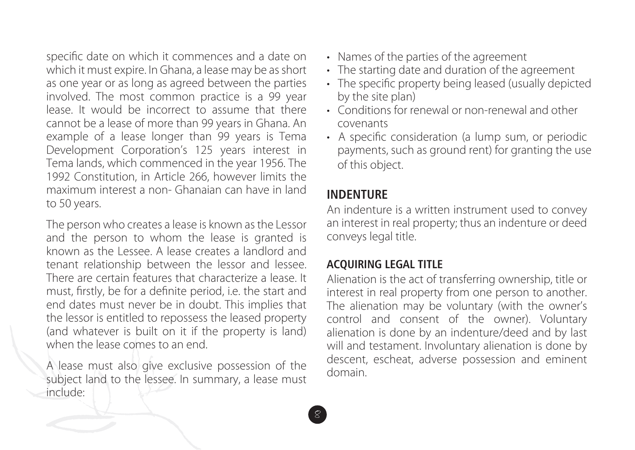specific date on which it commences and a date on which it must expire. In Ghana, a lease may be as short as one year or as long as agreed between the parties involved. The most common practice is a 99 year lease. It would be incorrect to assume that there cannot be a lease of more than 99 years in Ghana. An example of a lease longer than 99 years is Tema Development Corporation's 125 years interest in Tema lands, which commenced in the year 1956. The 1992 Constitution, in Article 266, however limits the maximum interest a non- Ghanaian can have in land to 50 years.

The person who creates a lease is known as the Lessor and the person to whom the lease is granted is known as the Lessee. A lease creates a landlord and tenant relationship between the lessor and lessee. There are certain features that characterize a lease. It must, firstly, be for a definite period, i.e. the start and end dates must never be in doubt. This implies that the lessor is entitled to repossess the leased property (and whatever is built on it if the property is land) when the lease comes to an end.

A lease must also give exclusive possession of the subject land to the lessee. In summary, a lease must include:

- Names of the parties of the agreement
- The starting date and duration of the agreement
- The specific property being leased (usually depicted by the site plan)
- Conditions for renewal or non-renewal and other covenants
- A specific consideration (a lump sum, or periodic payments, such as ground rent) for granting the use of this object.

#### **INDENTURE**

8

An indenture is a written instrument used to convey an interest in real property; thus an indenture or deed conveys legal title.

#### **ACQUIRING LEGAL TITLE**

Alienation is the act of transferring ownership, title or interest in real property from one person to another. The alienation may be voluntary (with the owner's control and consent of the owner). Voluntary alienation is done by an indenture/deed and by last will and testament. Involuntary alienation is done by descent, escheat, adverse possession and eminent domain.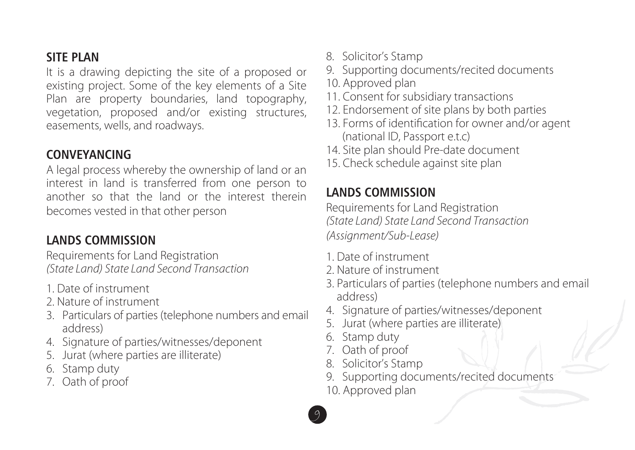#### **SITE PLAN**

It is a drawing depicting the site of a proposed or existing project. Some of the key elements of a Site Plan are property boundaries, land topography, vegetation, proposed and/or existing structures, easements, wells, and roadways.

#### **CONVEYANCING**

A legal process whereby the ownership of land or an interest in land is transferred from one person to another so that the land or the interest therein becomes vested in that other person

#### **LANDS COMMISSION**

Requirements for Land Registration *(State Land) State Land Second Transaction*

- 1. Date of instrument
- 2. Nature of instrument
- 3. Particulars of parties (telephone numbers and email address)
- 4. Signature of parties/witnesses/deponent
- 5. Jurat (where parties are illiterate)
- 6. Stamp duty
- 7. Oath of proof
- 8. Solicitor's Stamp
- 9. Supporting documents/recited documents
- 10. Approved plan
- 11. Consent for subsidiary transactions
- 12. Endorsement of site plans by both parties
- 13. Forms of identification for owner and/or agent (national ID, Passport e.t.c)
- 14. Site plan should Pre-date document
- 15. Check schedule against site plan

## **LANDS COMMISSION**

Requirements for Land Registration *(State Land) State Land Second Transaction (Assignment/Sub-Lease)*

- 1. Date of instrument
- 2. Nature of instrument
- 3. Particulars of parties (telephone numbers and email address)
- 4. Signature of parties/witnesses/deponent
- 5. Jurat (where parties are illiterate)
- 6. Stamp duty
- 7. Oath of proof
- 8. Solicitor's Stamp
- 9. Supporting documents/recited documents
- 10. Approved plan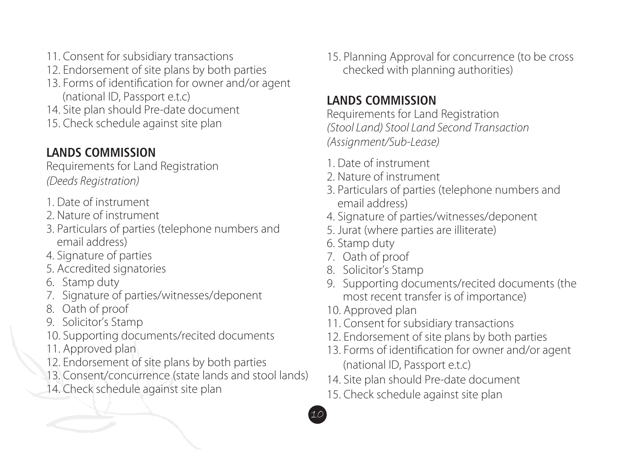- 11. Consent for subsidiary transactions
- 12. Endorsement of site plans by both parties
- 13. Forms of identification for owner and/or agent (national ID, Passport e.t.c)
- 14. Site plan should Pre-date document
- 15. Check schedule against site plan

## **LANDS COMMISSION**

Requirements for Land Registration *(Deeds Registration)*

- 1. Date of instrument
- 2. Nature of instrument
- 3. Particulars of parties (telephone numbers and email address)
- 4. Signature of parties
- 5. Accredited signatories
- 6. Stamp duty
- 7. Signature of parties/witnesses/deponent
- 8. Oath of proof
- 9. Solicitor's Stamp
- 10. Supporting documents/recited documents
- 11. Approved plan
- 12. Endorsement of site plans by both parties
- 13. Consent/concurrence (state lands and stool lands)
- 14. Check schedule against site plan

15. Planning Approval for concurrence (to be cross checked with planning authorities)

### **LANDS COMMISSION**

Requirements for Land Registration *(Stool Land) Stool Land Second Transaction (Assignment/Sub-Lease)*

- 1. Date of instrument
- 2. Nature of instrument
- 3. Particulars of parties (telephone numbers and email address)
- 4. Signature of parties/witnesses/deponent
- 5. Jurat (where parties are illiterate)
- 6. Stamp duty
- 7. Oath of proof
- 8. Solicitor's Stamp
- 9. Supporting documents/recited documents (the most recent transfer is of importance)
- 10. Approved plan

- 11. Consent for subsidiary transactions
- 12. Endorsement of site plans by both parties
- 13. Forms of identification for owner and/or agent (national ID, Passport e.t.c)
- 14. Site plan should Pre-date document
- 15. Check schedule against site plan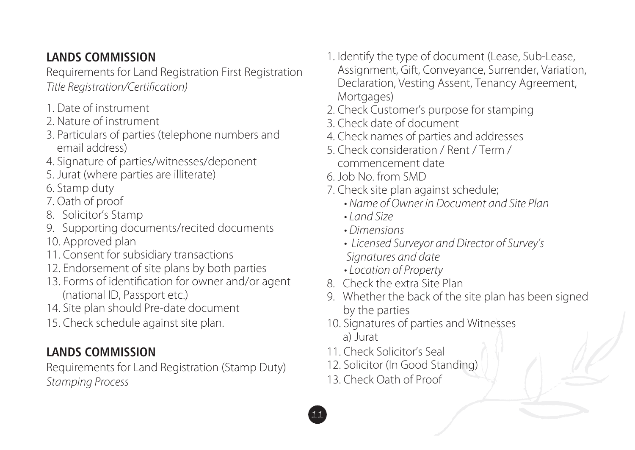### **LANDS COMMISSION**

Requirements for Land Registration First Registration *Title Registration/Certification)* 

- 1. Date of instrument
- 2. Nature of instrument
- 3. Particulars of parties (telephone numbers and email address)
- 4. Signature of parties/witnesses/deponent
- 5. Jurat (where parties are illiterate)
- 6. Stamp duty
- 7. Oath of proof
- 8. Solicitor's Stamp
- 9. Supporting documents/recited documents
- 10. Approved plan
- 11. Consent for subsidiary transactions
- 12. Endorsement of site plans by both parties
- 13. Forms of identification for owner and/or agent (national ID, Passport etc.)
- 14. Site plan should Pre-date document
- 15. Check schedule against site plan.

#### **LANDS COMMISSION**

Requirements for Land Registration (Stamp Duty) *Stamping Process*

- 1. Identify the type of document (Lease, Sub-Lease, Assignment, Gift, Conveyance, Surrender, Variation, Declaration, Vesting Assent, Tenancy Agreement, Mortgages)
- 2. Check Customer's purpose for stamping
- 3. Check date of document
- 4. Check names of parties and addresses
- 5. Check consideration / Rent / Term / commencement date
- 6. Job No. from SMD
- 7. Check site plan against schedule;
	- Name of Owner in Document and Site Plan
	- Land Size
	- Dimensions
	- Licensed Surveyor and Director of Survey's  *Signatures and date*
	- Location of Property
- 8. Check the extra Site Plan
- 9. Whether the back of the site plan has been signed by the parties
- 10. Signatures of parties and Witnesses a) Jurat
- 11. Check Solicitor's Seal
- 12. Solicitor (In Good Standing)
- 13. Check Oath of Proof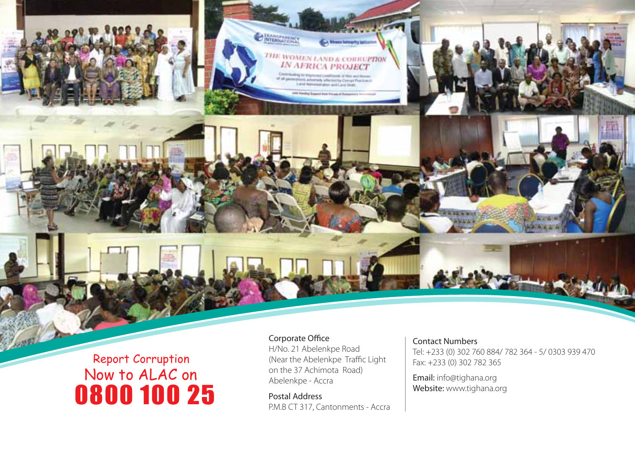# Report Corruption 0800 100 25 Now to ALAC on

#### Corporate Office H/No. 21 Abelenkpe Road (Near the Abelenkpe Traffic Light on the 37 Achimota Road) Abelenkpe - Accra

**O MARKETTERS** 

**THE WOMEN LAND & COREUPTION**<br>IN AFRICA PROJECT rig to trajes and Livelinears of Mini-and Shows<br>Provis activities which also Competitive Construction<br>Livel Administration and Land Deals

Postal Address P.M.B CT 317, Cantonments - Accra

#### Contact Numbers

Tel: +233 (0) 302 760 884/ 782 364 - 5/ 0303 939 470 Fax: +233 (0) 302 782 365

Email: info@tighana.org Website: www.tighana.org